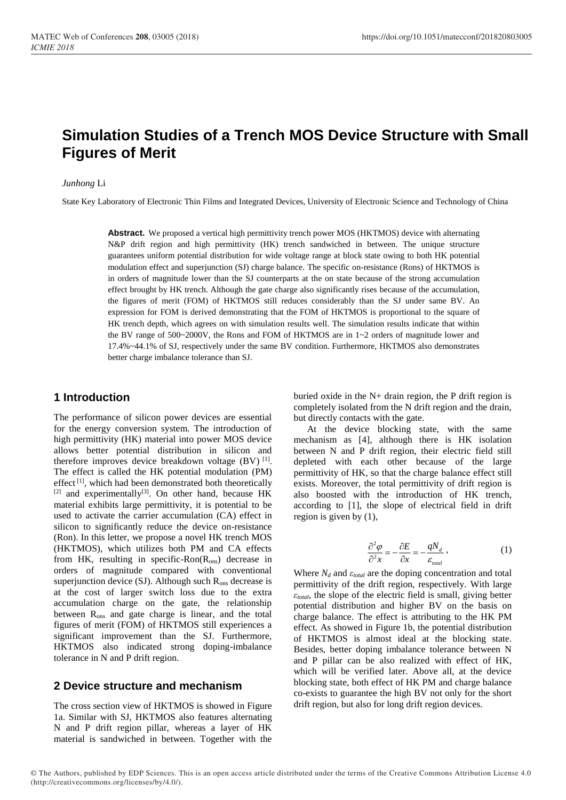# **Simulation Studies of a Trench MOS Device Structure with Small Figures of Merit**

#### *Junhong* Li

State Key Laboratory of Electronic Thin Films and Integrated Devices, University of Electronic Science and Technology of China

**Abstract.** We proposed a vertical high permittivity trench power MOS (HKTMOS) device with alternating N&P drift region and high permittivity (HK) trench sandwiched in between. The unique structure guarantees uniform potential distribution for wide voltage range at block state owing to both HK potential modulation effect and superjunction (SJ) charge balance. The specific on-resistance (Rons) of HKTMOS is in orders of magnitude lower than the SJ counterparts at the on state because of the strong accumulation effect brought by HK trench. Although the gate charge also significantly rises because of the accumulation, the figures of merit (FOM) of HKTMOS still reduces considerably than the SJ under same BV. An expression for FOM is derived demonstrating that the FOM of HKTMOS is proportional to the square of HK trench depth, which agrees on with simulation results well. The simulation results indicate that within the BV range of 500~2000V, the Rons and FOM of HKTMOS are in 1~2 orders of magnitude lower and 17.4%~44.1% of SJ, respectively under the same BV condition. Furthermore, HKTMOS also demonstrates better charge imbalance tolerance than SJ.

## **1 Introduction**

The performance of silicon power devices are essential for the energy conversion system. The introduction of high permittivity (HK) material into power MOS device allows better potential distribution in silicon and therefore improves device breakdown voltage  $(BV)$ <sup>[1]</sup>. The effect is called the HK potential modulation (PM) effect<sup>[1]</sup>, which had been demonstrated both theoretically  $[2]$  and experimentally<sup>[3]</sup>. On other hand, because HK material exhibits large permittivity, it is potential to be used to activate the carrier accumulation (CA) effect in silicon to significantly reduce the device on-resistance (Ron). In this letter, we propose a novel HK trench MOS (HKTMOS), which utilizes both PM and CA effects from HK, resulting in specific-Ron( $R_{ons}$ ) decrease in orders of magnitude compared with conventional superjunction device  $(SJ)$ . Although such  $R_{ons}$  decrease is at the cost of larger switch loss due to the extra accumulation charge on the gate, the relationship between Rons and gate charge is linear, and the total figures of merit (FOM) of HKTMOS still experiences a significant improvement than the SJ. Furthermore, HKTMOS also indicated strong doping-imbalance tolerance in N and P drift region.

## **2 Device structure and mechanism**

The cross section view of HKTMOS is showed in Figure 1a. Similar with SJ, HKTMOS also features alternating N and P drift region pillar, whereas a layer of HK material is sandwiched in between. Together with the

buried oxide in the N+ drain region, the P drift region is completely isolated from the N drift region and the drain, but directly contacts with the gate.

At the device blocking state, with the same mechanism as [4], although there is HK isolation between N and P drift region, their electric field still depleted with each other because of the large permittivity of HK, so that the charge balance effect still exists. Moreover, the total permittivity of drift region is also boosted with the introduction of HK trench, according to [1], the slope of electrical field in drift region is given by (1),

$$
\frac{\partial^2 \varphi}{\partial^2 x} = -\frac{\partial E}{\partial x} = -\frac{qN_d}{\varepsilon_{total}},
$$
\n(1)

Where  $N_d$  and  $\varepsilon_{total}$  are the doping concentration and total permittivity of the drift region, respectively. With large *εtotal*, the slope of the electric field is small, giving better potential distribution and higher BV on the basis on charge balance. The effect is attributing to the HK PM effect. As showed in Figure 1b, the potential distribution of HKTMOS is almost ideal at the blocking state. Besides, better doping imbalance tolerance between N and P pillar can be also realized with effect of HK, which will be verified later. Above all, at the device blocking state, both effect of HK PM and charge balance co-exists to guarantee the high BV not only for the short drift region, but also for long drift region devices.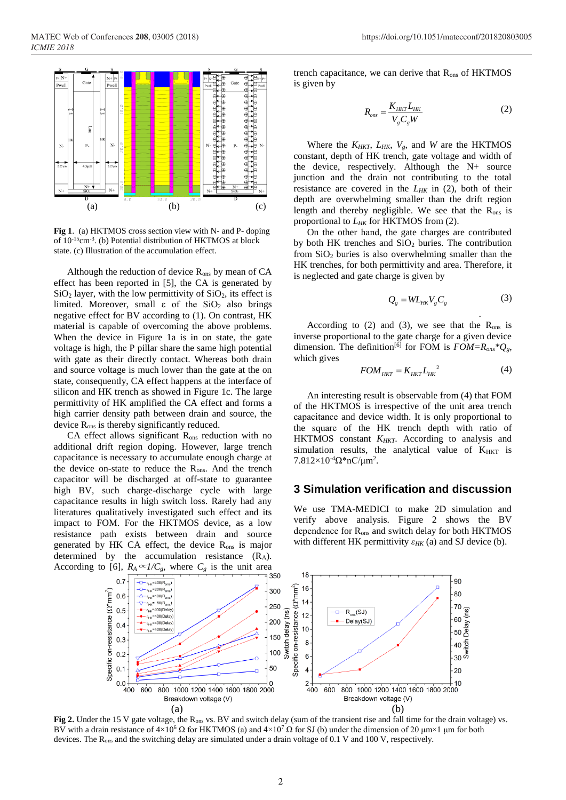

**Fig 1**. (a) HKTMOS cross section view with N- and P- doping of 10-15cm-3 . (b) Potential distribution of HKTMOS at block state. (c) Illustration of the accumulation effect.

Although the reduction of device  $R_{ons}$  by mean of  $CA$ effect has been reported in [5], the CA is generated by  $SiO<sub>2</sub>$  layer, with the low permittivity of  $SiO<sub>2</sub>$ , its effect is limited. Moreover, small  $\varepsilon$  of the SiO<sub>2</sub> also brings negative effect for BV according to (1). On contrast, HK material is capable of overcoming the above problems. When the device in Figure 1a is in on state, the gate voltage is high, the P pillar share the same high potential with gate as their directly contact. Whereas both drain and source voltage is much lower than the gate at the on state, consequently, CA effect happens at the interface of silicon and HK trench as showed in Figure 1c. The large permittivity of HK amplified the CA effect and forms a high carrier density path between drain and source, the device Rons is thereby significantly reduced.

 $CA$  effect allows significant  $R_{ons}$  reduction with no additional drift region doping. However, large trench capacitance is necessary to accumulate enough charge at the device on-state to reduce the  $R_{\text{ons}}$ . And the trench capacitor will be discharged at off-state to guarantee high BV, such charge-discharge cycle with large capacitance results in high switch loss. Rarely had any literatures qualitatively investigated such effect and its impact to FOM. For the HKTMOS device, as a low resistance path exists between drain and source generated by HK CA effect, the device R<sub>ons</sub> is major determined by the accumulation resistance  $(R_A)$ . According to [6],  $R_A \propto 1/C_g$ , where  $C_g$  is the unit area trench capacitance, we can derive that  $R_{\text{ons}}$  of  $HKTMOS$ is given by

$$
R_{\text{ons}} = \frac{K_{HKT}L_{HK}}{V_g C_g W}
$$
 (2)

Where the  $K_{HKT}$ ,  $L_{HK}$ ,  $V_g$ , and *W* are the HKTMOS constant, depth of HK trench, gate voltage and width of the device, respectively. Although the N+ source junction and the drain not contributing to the total resistance are covered in the  $L_{HK}$  in (2), both of their depth are overwhelming smaller than the drift region length and thereby negligible. We see that the  $R_{\text{ons}}$  is proportional to *LHK* for HKTMOS from (2).

On the other hand, the gate charges are contributed by both HK trenches and SiO<sub>2</sub> buries. The contribution from  $SiO<sub>2</sub>$  buries is also overwhelming smaller than the HK trenches, for both permittivity and area. Therefore, it is neglected and gate charge is given by

$$
Q_{g} = WL_{HK}V_{g}C_{g}
$$
 (3)

.

According to (2) and (3), we see that the  $R_{ons}$  is inverse proportional to the gate charge for a given device dimension. The definition<sup>[6]</sup> for FOM is  $FOM = R_{ons} * Q_{g}$ , which gives

$$
FOM_{HKT} = K_{HKT} L_{HK}^2 \tag{4}
$$

An interesting result is observable from (4) that FOM of the HKTMOS is irrespective of the unit area trench capacitance and device width. It is only proportional to the square of the HK trench depth with ratio of HKTMOS constant *KHKT*. According to analysis and simulation results, the analytical value of  $K<sub>HKT</sub>$  is  $7.812\times10^{-4}\Omega^*$ nC/μm<sup>2</sup>.

### **3 Simulation verification and discussion**

We use TMA-MEDICI to make 2D simulation and verify above analysis. Figure 2 shows the BV dependence for Rons and switch delay for both HKTMOS with different HK permittivity *εHK* (a) and SJ device (b).



Fig 2. Under the 15 V gate voltage, the R<sub>ons</sub> vs. BV and switch delay (sum of the transient rise and fall time for the drain voltage) vs. BV with a drain resistance of  $4\times10^6 \Omega$  for HKTMOS (a) and  $4\times10^7 \Omega$  for SJ (b) under the dimension of 20  $\mu$ m $\times1$   $\mu$ m for both devices. The Rons and the switching delay are simulated under a drain voltage of 0.1 V and 100 V, respectively.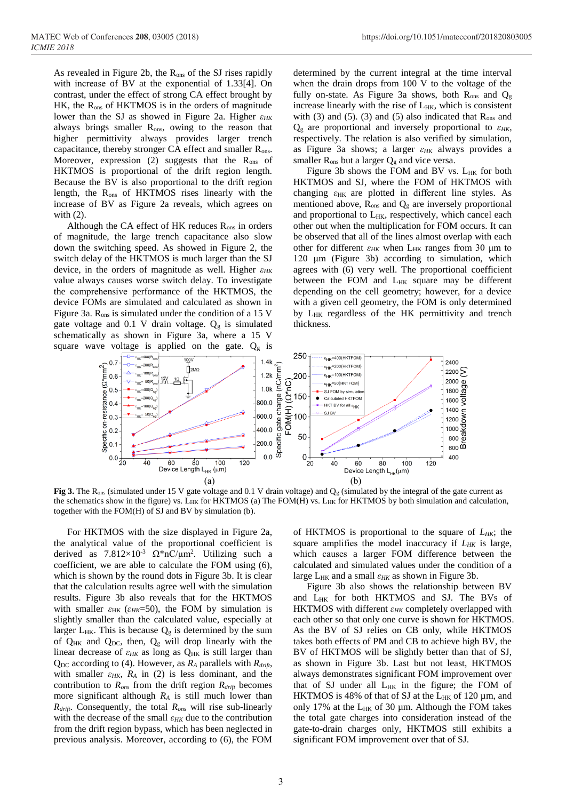As revealed in Figure 2b, the  $R_{ons}$  of the SJ rises rapidly with increase of BV at the exponential of 1.33[4]. On contrast, under the effect of strong CA effect brought by  $HK$ , the  $R_{ons}$  of HKTMOS is in the orders of magnitude lower than the SJ as showed in Figure 2a. Higher *εHK* always brings smaller R<sub>ons</sub>, owing to the reason that higher permittivity always provides larger trench capacitance, thereby stronger CA effect and smaller R<sub>ons</sub>. Moreover, expression (2) suggests that the R<sub>ons</sub> of HKTMOS is proportional of the drift region length. Because the BV is also proportional to the drift region length, the Rons of HKTMOS rises linearly with the increase of BV as Figure 2a reveals, which agrees on with (2).

Although the CA effect of HK reduces  $R_{ons}$  in orders of magnitude, the large trench capacitance also slow down the switching speed. As showed in Figure 2, the switch delay of the HKTMOS is much larger than the SJ device, in the orders of magnitude as well. Higher *εHK* value always causes worse switch delay. To investigate the comprehensive performance of the HKTMOS, the device FOMs are simulated and calculated as shown in Figure 3a.  $R_{ons}$  is simulated under the condition of a 15 V gate voltage and 0.1 V drain voltage.  $Q<sub>g</sub>$  is simulated schematically as shown in Figure 3a, where a 15 V square wave voltage is applied on the gate.  $Q<sub>g</sub>$  is

determined by the current integral at the time interval when the drain drops from 100 V to the voltage of the fully on-state. As Figure 3a shows, both  $R_{ons}$  and  $Q_{\rm g}$ increase linearly with the rise of  $L_{HK}$ , which is consistent with (3) and (5). (3) and (5) also indicated that  $R_{ons}$  and  $Q<sub>g</sub>$  are proportional and inversely proportional to  $\varepsilon_{HK}$ , respectively. The relation is also verified by simulation, as Figure 3a shows; a larger *εHK* always provides a smaller  $R_{ons}$  but a larger  $Q_g$  and vice versa.

Figure 3b shows the FOM and BV vs. L<sub>HK</sub> for both HKTMOS and SJ, where the FOM of HKTMOS with changing *ε*HK are plotted in different line styles. As mentioned above,  $R_{ons}$  and  $Q_g$  are inversely proportional and proportional to  $L_{HK}$ , respectively, which cancel each other out when the multiplication for FOM occurs. It can be observed that all of the lines almost overlap with each other for different  $\varepsilon_{HK}$  when L<sub>HK</sub> ranges from 30 μm to 120 μm (Figure 3b) according to simulation, which agrees with (6) very well. The proportional coefficient between the FOM and L<sub>HK</sub> square may be different depending on the cell geometry; however, for a device with a given cell geometry, the FOM is only determined by  $L_{HK}$  regardless of the HK permittivity and trench thickness.



**Fig 3.** The R<sub>ons</sub> (simulated under 15 V gate voltage and 0.1 V drain voltage) and Q<sub>g</sub> (simulated by the integral of the gate current as the schematics show in the figure) vs. LHK for HKTMOS (a) The FOM(H) vs. LHK for HKTMOS by both simulation and calculation, together with the FOM(H) of SJ and BV by simulation (b).

For HKTMOS with the size displayed in Figure 2a, the analytical value of the proportional coefficient is derived as  $7.812 \times 10^{-3} \Omega^* nC/\mu m^2$ . Utilizing such a coefficient, we are able to calculate the FOM using (6), which is shown by the round dots in Figure 3b. It is clear that the calculation results agree well with the simulation results. Figure 3b also reveals that for the HKTMOS with smaller  $\varepsilon_{HK}$  ( $\varepsilon_{HK}$ =50), the FOM by simulation is slightly smaller than the calculated value, especially at larger L<sub>HK</sub>. This is because  $Q<sub>g</sub>$  is determined by the sum of  $Q_{HK}$  and  $Q_{DC}$ , then,  $Q_g$  will drop linearly with the linear decrease of  $\varepsilon_{HK}$  as long as  $Q_{HK}$  is still larger than  $Q_{DC}$  according to (4). However, as  $R_A$  parallels with  $R_{drift}$ , with smaller  $\varepsilon_{HK}$ ,  $R_A$  in (2) is less dominant, and the contribution to  $R_{ons}$  from the drift region  $R_{drift}$  becomes more significant although *R<sup>A</sup>* is still much lower than *Rdrift*. Consequently, the total *Rons* will rise sub-linearly with the decrease of the small *εHK* due to the contribution from the drift region bypass, which has been neglected in previous analysis. Moreover, according to (6), the FOM

of HKTMOS is proportional to the square of *LHK*; the square amplifies the model inaccuracy if *LHK* is large, which causes a larger FOM difference between the calculated and simulated values under the condition of a large LHK and a small *εHK* as shown in Figure 3b.

Figure 3b also shows the relationship between BV and LHK for both HKTMOS and SJ. The BVs of HKTMOS with different  $ε$ <sub>HK</sub> completely overlapped with each other so that only one curve is shown for HKTMOS. As the BV of SJ relies on CB only, while HKTMOS takes both effects of PM and CB to achieve high BV, the BV of HKTMOS will be slightly better than that of SJ, as shown in Figure 3b. Last but not least, HKTMOS always demonstrates significant FOM improvement over that of SJ under all  $L_{HK}$  in the figure; the FOM of HKTMOS is 48% of that of SJ at the  $L_{HK}$  of 120  $\mu$ m, and only 17% at the  $L_{HK}$  of 30 µm. Although the FOM takes the total gate charges into consideration instead of the gate-to-drain charges only, HKTMOS still exhibits a significant FOM improvement over that of SJ.